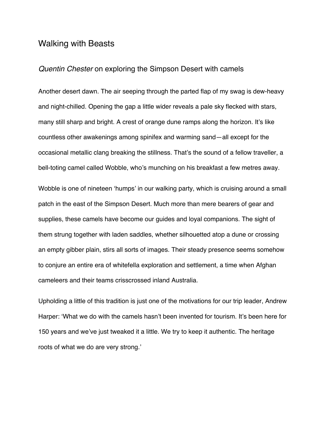## Walking with Beasts

## *Quentin Chester* on exploring the Simpson Desert with camels

Another desert dawn. The air seeping through the parted flap of my swag is dew-heavy and night-chilled. Opening the gap a little wider reveals a pale sky flecked with stars, many still sharp and bright. A crest of orange dune ramps along the horizon. It's like countless other awakenings among spinifex and warming sand—all except for the occasional metallic clang breaking the stillness. That's the sound of a fellow traveller, a bell-toting camel called Wobble, who's munching on his breakfast a few metres away.

Wobble is one of nineteen 'humps' in our walking party, which is cruising around a small patch in the east of the Simpson Desert. Much more than mere bearers of gear and supplies, these camels have become our guides and loyal companions. The sight of them strung together with laden saddles, whether silhouetted atop a dune or crossing an empty gibber plain, stirs all sorts of images. Their steady presence seems somehow to conjure an entire era of whitefella exploration and settlement, a time when Afghan cameleers and their teams crisscrossed inland Australia.

Upholding a little of this tradition is just one of the motivations for our trip leader, Andrew Harper: 'What we do with the camels hasn't been invented for tourism. It's been here for 150 years and we've just tweaked it a little. We try to keep it authentic. The heritage roots of what we do are very strong.'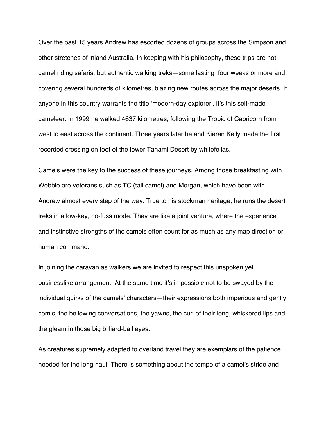Over the past 15 years Andrew has escorted dozens of groups across the Simpson and other stretches of inland Australia. In keeping with his philosophy, these trips are not camel riding safaris, but authentic walking treks—some lasting four weeks or more and covering several hundreds of kilometres, blazing new routes across the major deserts. If anyone in this country warrants the title 'modern-day explorer', it's this self-made cameleer. In 1999 he walked 4637 kilometres, following the Tropic of Capricorn from west to east across the continent. Three years later he and Kieran Kelly made the first recorded crossing on foot of the lower Tanami Desert by whitefellas.

Camels were the key to the success of these journeys. Among those breakfasting with Wobble are veterans such as TC (tall camel) and Morgan, which have been with Andrew almost every step of the way. True to his stockman heritage, he runs the desert treks in a low-key, no-fuss mode. They are like a joint venture, where the experience and instinctive strengths of the camels often count for as much as any map direction or human command.

In joining the caravan as walkers we are invited to respect this unspoken yet businesslike arrangement. At the same time it's impossible not to be swayed by the individual quirks of the camels' characters—their expressions both imperious and gently comic, the bellowing conversations, the yawns, the curl of their long, whiskered lips and the gleam in those big billiard-ball eyes.

As creatures supremely adapted to overland travel they are exemplars of the patience needed for the long haul. There is something about the tempo of a camel's stride and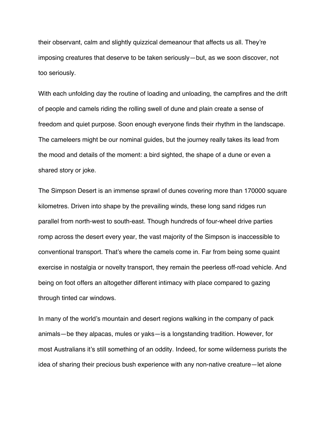their observant, calm and slightly quizzical demeanour that affects us all. They're imposing creatures that deserve to be taken seriously—but, as we soon discover, not too seriously.

With each unfolding day the routine of loading and unloading, the campfires and the drift of people and camels riding the rolling swell of dune and plain create a sense of freedom and quiet purpose. Soon enough everyone finds their rhythm in the landscape. The cameleers might be our nominal guides, but the journey really takes its lead from the mood and details of the moment: a bird sighted, the shape of a dune or even a shared story or joke.

The Simpson Desert is an immense sprawl of dunes covering more than 170000 square kilometres. Driven into shape by the prevailing winds, these long sand ridges run parallel from north-west to south-east. Though hundreds of four-wheel drive parties romp across the desert every year, the vast majority of the Simpson is inaccessible to conventional transport. That's where the camels come in. Far from being some quaint exercise in nostalgia or novelty transport, they remain the peerless off-road vehicle. And being on foot offers an altogether different intimacy with place compared to gazing through tinted car windows.

In many of the world's mountain and desert regions walking in the company of pack animals—be they alpacas, mules or yaks—is a longstanding tradition. However, for most Australians it's still something of an oddity. Indeed, for some wilderness purists the idea of sharing their precious bush experience with any non-native creature—let alone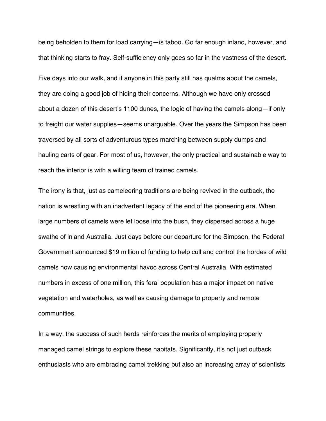being beholden to them for load carrying—is taboo. Go far enough inland, however, and that thinking starts to fray. Self-sufficiency only goes so far in the vastness of the desert.

Five days into our walk, and if anyone in this party still has qualms about the camels, they are doing a good job of hiding their concerns. Although we have only crossed about a dozen of this desert's 1100 dunes, the logic of having the camels along—if only to freight our water supplies—seems unarguable. Over the years the Simpson has been traversed by all sorts of adventurous types marching between supply dumps and hauling carts of gear. For most of us, however, the only practical and sustainable way to reach the interior is with a willing team of trained camels.

The irony is that, just as cameleering traditions are being revived in the outback, the nation is wrestling with an inadvertent legacy of the end of the pioneering era. When large numbers of camels were let loose into the bush, they dispersed across a huge swathe of inland Australia. Just days before our departure for the Simpson, the Federal Government announced \$19 million of funding to help cull and control the hordes of wild camels now causing environmental havoc across Central Australia. With estimated numbers in excess of one million, this feral population has a major impact on native vegetation and waterholes, as well as causing damage to property and remote communities.

In a way, the success of such herds reinforces the merits of employing properly managed camel strings to explore these habitats. Significantly, it's not just outback enthusiasts who are embracing camel trekking but also an increasing array of scientists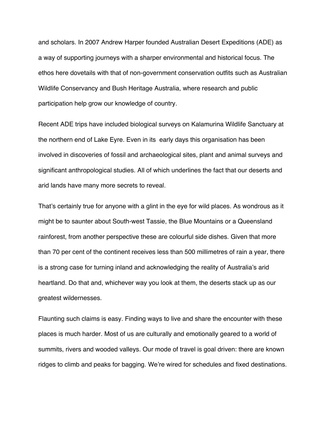and scholars. In 2007 Andrew Harper founded Australian Desert Expeditions (ADE) as a way of supporting journeys with a sharper environmental and historical focus. The ethos here dovetails with that of non-government conservation outfits such as Australian Wildlife Conservancy and Bush Heritage Australia, where research and public participation help grow our knowledge of country.

Recent ADE trips have included biological surveys on Kalamurina Wildlife Sanctuary at the northern end of Lake Eyre. Even in its early days this organisation has been involved in discoveries of fossil and archaeological sites, plant and animal surveys and significant anthropological studies. All of which underlines the fact that our deserts and arid lands have many more secrets to reveal.

That's certainly true for anyone with a glint in the eye for wild places. As wondrous as it might be to saunter about South-west Tassie, the Blue Mountains or a Queensland rainforest, from another perspective these are colourful side dishes. Given that more than 70 per cent of the continent receives less than 500 millimetres of rain a year, there is a strong case for turning inland and acknowledging the reality of Australia's arid heartland. Do that and, whichever way you look at them, the deserts stack up as our greatest wildernesses.

Flaunting such claims is easy. Finding ways to live and share the encounter with these places is much harder. Most of us are culturally and emotionally geared to a world of summits, rivers and wooded valleys. Our mode of travel is goal driven: there are known ridges to climb and peaks for bagging. We're wired for schedules and fixed destinations.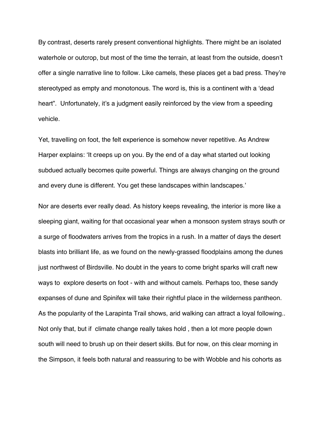By contrast, deserts rarely present conventional highlights. There might be an isolated waterhole or outcrop, but most of the time the terrain, at least from the outside, doesn't offer a single narrative line to follow. Like camels, these places get a bad press. They're stereotyped as empty and monotonous. The word is, this is a continent with a 'dead heart". Unfortunately, it's a judgment easily reinforced by the view from a speeding vehicle.

Yet, travelling on foot, the felt experience is somehow never repetitive. As Andrew Harper explains: 'It creeps up on you. By the end of a day what started out looking subdued actually becomes quite powerful. Things are always changing on the ground and every dune is different. You get these landscapes within landscapes.'

Nor are deserts ever really dead. As history keeps revealing, the interior is more like a sleeping giant, waiting for that occasional year when a monsoon system strays south or a surge of floodwaters arrives from the tropics in a rush. In a matter of days the desert blasts into brilliant life, as we found on the newly-grassed floodplains among the dunes just northwest of Birdsville. No doubt in the years to come bright sparks will craft new ways to explore deserts on foot - with and without camels. Perhaps too, these sandy expanses of dune and Spinifex will take their rightful place in the wilderness pantheon. As the popularity of the Larapinta Trail shows, arid walking can attract a loyal following.. Not only that, but if climate change really takes hold , then a lot more people down south will need to brush up on their desert skills. But for now, on this clear morning in the Simpson, it feels both natural and reassuring to be with Wobble and his cohorts as